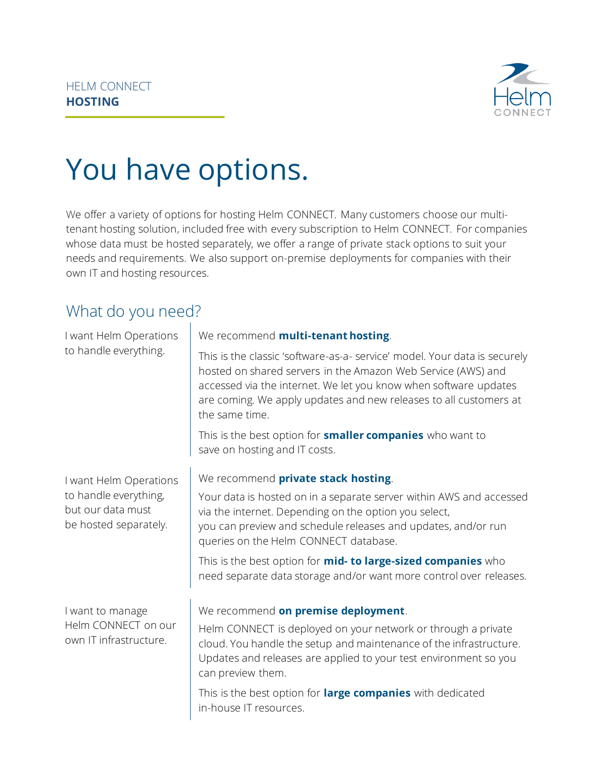

# You have options.

We offer a variety of options for hosting Helm CONNECT. Many customers choose our multitenant hosting solution, included free with every subscription to Helm CONNECT. For companies whose data must be hosted separately, we offer a range of private stack options to suit your needs and requirements. We also support on-premise deployments for companies with their own IT and hosting resources.

#### What do you need?

| I want Helm Operations<br>to handle everything.                                               | We recommend multi-tenant hosting.                                                                                                                                                                                                                                                                   |  |  |  |
|-----------------------------------------------------------------------------------------------|------------------------------------------------------------------------------------------------------------------------------------------------------------------------------------------------------------------------------------------------------------------------------------------------------|--|--|--|
|                                                                                               | This is the classic 'software-as-a- service' model. Your data is securely<br>hosted on shared servers in the Amazon Web Service (AWS) and<br>accessed via the internet. We let you know when software updates<br>are coming. We apply updates and new releases to all customers at<br>the same time. |  |  |  |
|                                                                                               | This is the best option for <b>smaller companies</b> who want to<br>save on hosting and IT costs.                                                                                                                                                                                                    |  |  |  |
| I want Helm Operations<br>to handle everything,<br>but our data must<br>be hosted separately. | We recommend private stack hosting.                                                                                                                                                                                                                                                                  |  |  |  |
|                                                                                               | Your data is hosted on in a separate server within AWS and accessed<br>via the internet. Depending on the option you select,<br>you can preview and schedule releases and updates, and/or run<br>queries on the Helm CONNECT database.                                                               |  |  |  |
|                                                                                               | This is the best option for <b>mid- to large-sized companies</b> who<br>need separate data storage and/or want more control over releases.                                                                                                                                                           |  |  |  |
| I want to manage<br>Helm CONNECT on our<br>own IT infrastructure.                             | We recommend on premise deployment.                                                                                                                                                                                                                                                                  |  |  |  |
|                                                                                               | Helm CONNECT is deployed on your network or through a private<br>cloud. You handle the setup and maintenance of the infrastructure.<br>Updates and releases are applied to your test environment so you<br>can preview them.                                                                         |  |  |  |
|                                                                                               | This is the best option for large companies with dedicated<br>in-house IT resources.                                                                                                                                                                                                                 |  |  |  |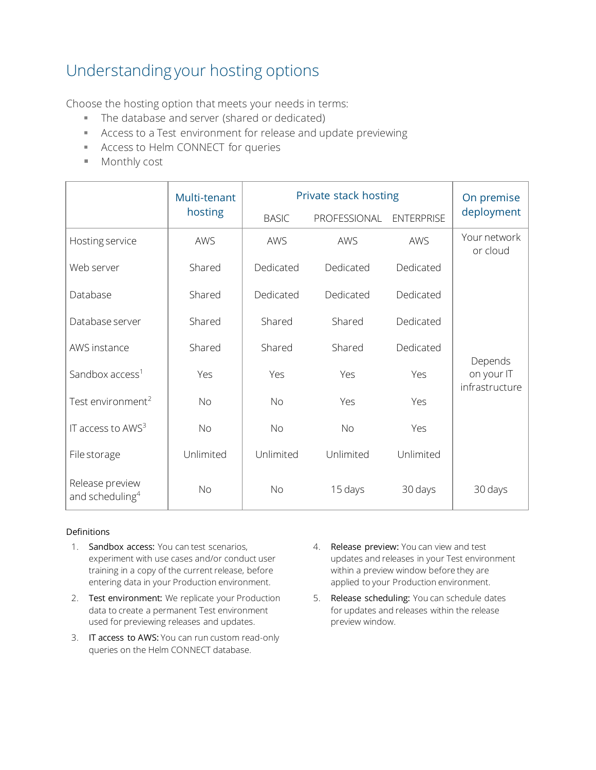### Understanding your hosting options

Choose the hosting option that meets your needs in terms:

- The database and server (shared or dedicated)
- Access to a Test environment for release and update previewing
- **EXECT** Access to Helm CONNECT for queries
- Monthly cost

|                                                | Multi-tenant | Private stack hosting |              |                   | On premise                   |
|------------------------------------------------|--------------|-----------------------|--------------|-------------------|------------------------------|
|                                                | hosting      | <b>BASIC</b>          | PROFESSIONAL | <b>ENTERPRISE</b> | deployment                   |
| Hosting service                                | AWS          | AWS                   | AWS          | AWS               | Your network<br>or cloud     |
| Web server                                     | Shared       | Dedicated             | Dedicated    | Dedicated         |                              |
| Database                                       | Shared       | Dedicated             | Dedicated    | Dedicated         |                              |
| Database server                                | Shared       | Shared                | Shared       | Dedicated         |                              |
| AWS instance                                   | Shared       | Shared                | Shared       | Dedicated         | Depends                      |
| Sandbox access <sup>1</sup>                    | Yes          | Yes                   | Yes          | Yes               | on your IT<br>infrastructure |
| Test environment <sup>2</sup>                  | <b>No</b>    | <b>No</b>             | Yes          | Yes               |                              |
| IT access to $AWS3$                            | <b>No</b>    | <b>No</b>             | <b>No</b>    | Yes               |                              |
| File storage                                   | Unlimited    | Unlimited             | Unlimited    | Unlimited         |                              |
| Release preview<br>and scheduling <sup>4</sup> | <b>No</b>    | <b>No</b>             | 15 days      | 30 days           | 30 days                      |

#### **Definitions**

- 1. Sandbox access: You can test scenarios, experiment with use cases and/or conduct user training in a copy of the current release, before entering data in your Production environment.
- 2. Test environment: We replicate your Production data to create a permanent Test environment used for previewing releases and updates.
- 3. IT access to AWS: You can run custom read-only queries on the Helm CONNECT database.
- 4. Release preview: You can view and test updates and releases in your Test environment within a preview window before they are applied to your Production environment.
- 5. Release scheduling: You can schedule dates for updates and releases within the release preview window.